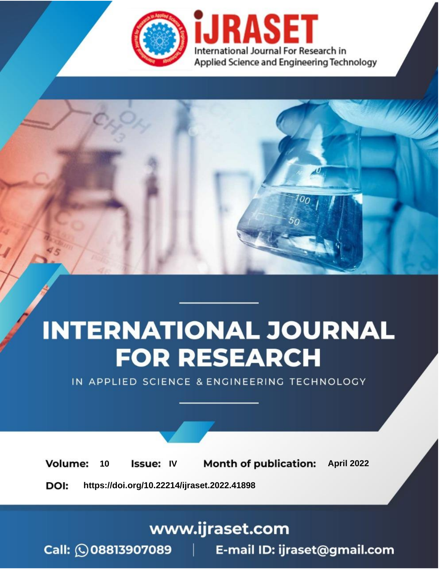

# **INTERNATIONAL JOURNAL FOR RESEARCH**

IN APPLIED SCIENCE & ENGINEERING TECHNOLOGY

10 **Issue: IV Month of publication:** April 2022 **Volume:** 

**https://doi.org/10.22214/ijraset.2022.41898**DOI:

www.ijraset.com

Call: 008813907089 | E-mail ID: ijraset@gmail.com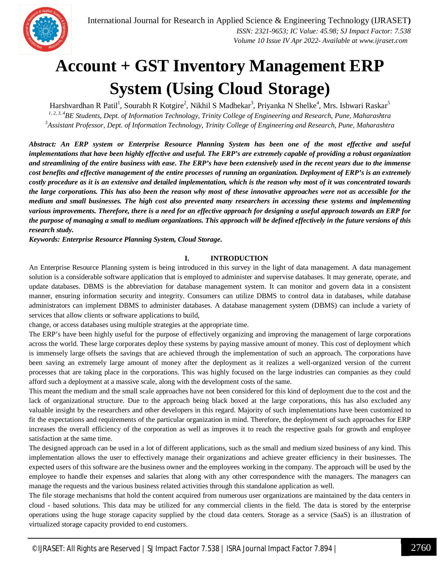

### **Account + GST Inventory Management ERP System (Using Cloud Storage)**

Harshvardhan R Patil<sup>1</sup>, Sourabh R Kotgire<sup>2</sup>, Nikhil S Madhekar<sup>3</sup>, Priyanka N Shelke<sup>4</sup>, Mrs. Ishwari Raskar<sup>5</sup> *1, 2, 3, 4BE Students, Dept. of Information Technology, Trinity College of Engineering and Research, Pune, Maharashtra <sup>5</sup>Assistant Professor, Dept. of Information Technology, Trinity College of Engineering and Research, Pune, Maharashtra*

*Abstract: An ERP system or Enterprise Resource Planning System has been one of the most effective and useful implementations that have been highly effective and useful. The ERP's are extremely capable of providing a robust organization and streamlining of the entire business with ease. The ERP's have been extensively used in the recent years due to the immense cost benefits and effective management of the entire processes of running an organization. Deployment of ERP's is an extremely costly procedure as it is an extensive and detailed implementation, which is the reason why most of it was concentrated towards the large corporations. This has also been the reason why most of these innovative approaches were not as accessible for the medium and small businesses. The high cost also prevented many researchers in accessing these systems and implementing various improvements. Therefore, there is a need for an effective approach for designing a useful approach towards an ERP for the purpose of managing a small to medium organizations. This approach will be defined effectively in the future versions of this research study.*

*Keywords: Enterprise Resource Planning System, Cloud Storage.* 

#### **I. INTRODUCTION**

An Enterprise Resource Planning system is being introduced in this survey in the light of data management. A data management solution is a considerable software application that is employed to administer and supervise databases. It may generate, operate, and update databases. DBMS is the abbreviation for database management system. It can monitor and govern data in a consistent manner, ensuring information security and integrity. Consumers can utilize DBMS to control data in databases, while database administrators can implement DBMS to administer databases. A database management system (DBMS) can include a variety of services that allow clients or software applications to build,

change, or access databases using multiple strategies at the appropriate time.

The ERP's have been highly useful for the purpose of effectively organizing and improving the management of large corporations across the world. These large corporates deploy these systems by paying massive amount of money. This cost of deployment which is immensely large offsets the savings that are achieved through the implementation of such an approach. The corporations have been saving an extremely large amount of money after the deployment as it realizes a well-organized version of the current processes that are taking place in the corporations. This was highly focused on the large industries can companies as they could afford such a deployment at a massive scale, along with the development costs of the same.

This meant the medium and the small scale approaches have not been considered for this kind of deployment due to the cost and the lack of organizational structure. Due to the approach being black boxed at the large corporations, this has also excluded any valuable insight by the researchers and other developers in this regard. Majority of such implementations have been customized to fit the expectations and requirements of the particular organization in mind. Therefore, the deployment of such approaches for ERP increases the overall efficiency of the corporation as well as improves it to reach the respective goals for growth and employee satisfaction at the same time.

The designed approach can be used in a lot of different applications, such as the small and medium sized business of any kind. This implementation allows the user to effectively manage their organizations and achieve greater efficiency in their businesses. The expected users of this software are the business owner and the employees working in the company. The approach will be used by the employee to handle their expenses and salaries that along with any other correspondence with the managers. The managers can manage the requests and the various business related activities through this standalone application as well.

The file storage mechanisms that hold the content acquired from numerous user organizations are maintained by the data centers in cloud - based solutions. This data may be utilized for any commercial clients in the field. The data is stored by the enterprise operations using the huge storage capacity supplied by the cloud data centers. Storage as a service (SaaS) is an illustration of virtualized storage capacity provided to end customers.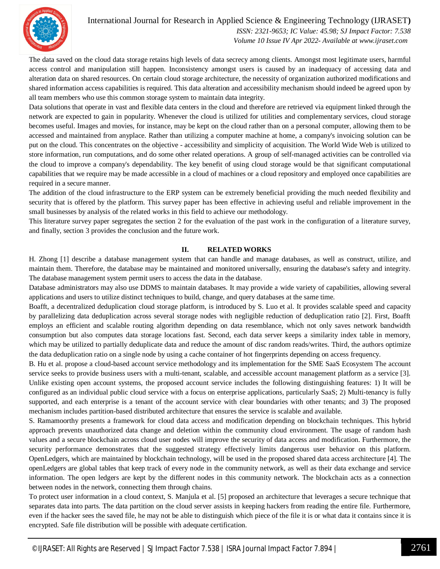International Journal for Research in Applied Science & Engineering Technology (IJRASET**)**



 *ISSN: 2321-9653; IC Value: 45.98; SJ Impact Factor: 7.538 Volume 10 Issue IV Apr 2022- Available at www.ijraset.com*

The data saved on the cloud data storage retains high levels of data secrecy among clients. Amongst most legitimate users, harmful access control and manipulation still happen. Inconsistency amongst users is caused by an inadequacy of accessing data and alteration data on shared resources. On certain cloud storage architecture, the necessity of organization authorized modifications and shared information access capabilities is required. This data alteration and accessibility mechanism should indeed be agreed upon by all team members who use this common storage system to maintain data integrity.

Data solutions that operate in vast and flexible data centers in the cloud and therefore are retrieved via equipment linked through the network are expected to gain in popularity. Whenever the cloud is utilized for utilities and complementary services, cloud storage becomes useful. Images and movies, for instance, may be kept on the cloud rather than on a personal computer, allowing them to be accessed and maintained from anyplace. Rather than utilizing a computer machine at home, a company's invoicing solution can be put on the cloud. This concentrates on the objective - accessibility and simplicity of acquisition. The World Wide Web is utilized to store information, run computations, and do some other related operations. A group of self-managed activities can be controlled via the cloud to improve a company's dependability. The key benefit of using cloud storage would be that significant computational capabilities that we require may be made accessible in a cloud of machines or a cloud repository and employed once capabilities are required in a secure manner.

The addition of the cloud infrastructure to the ERP system can be extremely beneficial providing the much needed flexibility and security that is offered by the platform. This survey paper has been effective in achieving useful and reliable improvement in the small businesses by analysis of the related works in this field to achieve our methodology.

This literature survey paper segregates the section 2 for the evaluation of the past work in the configuration of a literature survey, and finally, section 3 provides the conclusion and the future work.

#### **II. RELATED WORKS**

H. Zhong [1] describe a database management system that can handle and manage databases, as well as construct, utilize, and maintain them. Therefore, the database may be maintained and monitored universally, ensuring the database's safety and integrity. The database management system permit users to access the data in the database.

Database administrators may also use DDMS to maintain databases. It may provide a wide variety of capabilities, allowing several applications and users to utilize distinct techniques to build, change, and query databases at the same time.

Boafft, a decentralized deduplication cloud storage platform, is introduced by S. Luo et al. It provides scalable speed and capacity by parallelizing data deduplication across several storage nodes with negligible reduction of deduplication ratio [2]. First, Boafft employs an efficient and scalable routing algorithm depending on data resemblance, which not only saves network bandwidth consumption but also computes data storage locations fast. Second, each data server keeps a similarity index table in memory, which may be utilized to partially deduplicate data and reduce the amount of disc random reads/writes. Third, the authors optimize the data deduplication ratio on a single node by using a cache container of hot fingerprints depending on access frequency.

B. Hu et al. propose a cloud-based account service methodology and its implementation for the SME SaaS Ecosystem The account service seeks to provide business users with a multi-tenant, scalable, and accessible account management platform as a service [3]. Unlike existing open account systems, the proposed account service includes the following distinguishing features: 1) It will be configured as an individual public cloud service with a focus on enterprise applications, particularly SaaS; 2) Multi-tenancy is fully supported, and each enterprise is a tenant of the account service with clear boundaries with other tenants; and 3) The proposed mechanism includes partition-based distributed architecture that ensures the service is scalable and available.

S. Ramamoorthy presents a framework for cloud data access and modification depending on blockchain techniques. This hybrid approach prevents unauthorized data change and deletion within the community cloud environment. The usage of random hash values and a secure blockchain across cloud user nodes will improve the security of data access and modification. Furthermore, the security performance demonstrates that the suggested strategy effectively limits dangerous user behavior on this platform. OpenLedgers, which are maintained by blockchain technology, will be used in the proposed shared data access architecture [4]. The openLedgers are global tables that keep track of every node in the community network, as well as their data exchange and service information. The open ledgers are kept by the different nodes in this community network. The blockchain acts as a connection between nodes in the network, connecting them through chains.

To protect user information in a cloud context, S. Manjula et al. [5] proposed an architecture that leverages a secure technique that separates data into parts. The data partition on the cloud server assists in keeping hackers from reading the entire file. Furthermore, even if the hacker sees the saved file, he may not be able to distinguish which piece of the file it is or what data it contains since it is encrypted. Safe file distribution will be possible with adequate certification.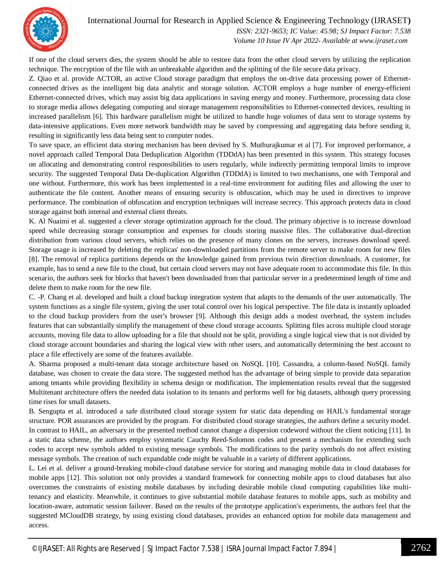International Journal for Research in Applied Science & Engineering Technology (IJRASET**)**



 *ISSN: 2321-9653; IC Value: 45.98; SJ Impact Factor: 7.538 Volume 10 Issue IV Apr 2022- Available at www.ijraset.com*

If one of the cloud servers dies, the system should be able to restore data from the other cloud servers by utilizing the replication technique. The encryption of the file with an unbreakable algorithm and the splitting of the file secure data privacy.

Z. Qiao et al. provide ACTOR, an active Cloud storage paradigm that employs the on-drive data processing power of Ethernetconnected drives as the intelligent big data analytic and storage solution. ACTOR employs a huge number of energy-efficient Ethernet-connected drives, which may assist big data applications in saving energy and money. Furthermore, processing data close to storage media allows delegating computing and storage management responsibilities to Ethernet-connected devices, resulting in increased parallelism [6]. This hardware parallelism might be utilized to handle huge volumes of data sent to storage systems by data-intensive applications. Even more network bandwidth may be saved by compressing and aggregating data before sending it, resulting in significantly less data being sent to computer nodes.

To save space, an efficient data storing mechanism has been devised by S. Muthurajkumar et al [7]. For improved performance, a novel approach called Temporal Data Deduplication Algorithm (TDDdA) has been presented in this system. This strategy focuses on allocating and demonstrating control responsibilities to users regularly, while indirectly permitting temporal limits to improve security. The suggested Temporal Data De-duplication Algorithm (TDDdA) is limited to two mechanisms, one with Temporal and one without. Furthermore, this work has been implemented in a real-time environment for auditing files and allowing the user to authenticate the file content. Another means of ensuring security is obfuscation, which may be used in directives to improve performance. The combination of obfuscation and encryption techniques will increase secrecy. This approach protects data in cloud storage against both internal and external client threats.

K. Al Nuaimi et al. suggested a clever storage optimization approach for the cloud. The primary objective is to increase download speed while decreasing storage consumption and expenses for clouds storing massive files. The collaborative dual-direction distribution from various cloud servers, which relies on the presence of many clones on the servers, increases download speed. Storage usage is increased by deleting the replicas' non-downloaded partitions from the remote server to make room for new files [8]. The removal of replica partitions depends on the knowledge gained from previous twin direction downloads. A customer, for example, has to send a new file to the cloud, but certain cloud servers may not have adequate room to accommodate this file. In this scenario, the authors seek for blocks that haven't been downloaded from that particular server in a predetermined length of time and delete them to make room for the new file.

C. -P. Chang et al. developed and built a cloud backup integration system that adapts to the demands of the user automatically. The system functions as a single file system, giving the user total control over his logical perspective. The file data is instantly uploaded to the cloud backup providers from the user's browser [9]. Although this design adds a modest overhead, the system includes features that can substantially simplify the management of these cloud storage accounts. Splitting files across multiple cloud storage accounts, moving file data to allow uploading for a file that should not be split, providing a single logical view that is not divided by cloud storage account boundaries and sharing the logical view with other users, and automatically determining the best account to place a file effectively are some of the features available.

A. Sharma proposed a multi-tenant data storage architecture based on NoSQL [10]. Cassandra, a column-based NoSQL family database, was chosen to create the data store. The suggested method has the advantage of being simple to provide data separation among tenants while providing flexibility in schema design or modification. The implementation results reveal that the suggested Multitenant architecture offers the needed data isolation to its tenants and performs well for big datasets, although query processing time rises for small datasets.

B. Sengupta et al. introduced a safe distributed cloud storage system for static data depending on HAIL's fundamental storage structure. POR assurances are provided by the program. For distributed cloud storage strategies, the authors define a security model. In contrast to HAIL, an adversary in the presented method cannot change a dispersion codeword without the client noticing [11]. In a static data scheme, the authors employ systematic Cauchy Reed-Solomon codes and present a mechanism for extending such codes to accept new symbols added to existing message symbols. The modifications to the parity symbols do not affect existing message symbols. The creation of such expandable code might be valuable in a variety of different applications.

L. Lei et al. deliver a ground-breaking mobile-cloud database service for storing and managing mobile data in cloud databases for mobile apps [12]. This solution not only provides a standard framework for connecting mobile apps to cloud databases but also overcomes the constraints of existing mobile databases by including desirable mobile cloud computing capabilities like multitenancy and elasticity. Meanwhile, it continues to give substantial mobile database features to mobile apps, such as mobility and location-aware, automatic session failover. Based on the results of the prototype application's experiments, the authors feel that the suggested MCloudDB strategy, by using existing cloud databases, provides an enhanced option for mobile data management and access.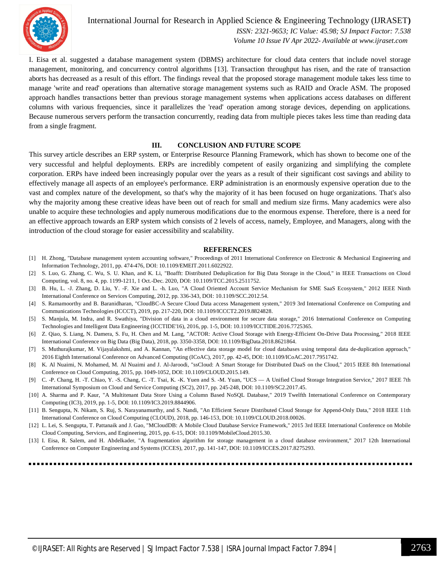

International Journal for Research in Applied Science & Engineering Technology (IJRASET**)**  *ISSN: 2321-9653; IC Value: 45.98; SJ Impact Factor: 7.538 Volume 10 Issue IV Apr 2022- Available at www.ijraset.com*

I. Eisa et al. suggested a database management system (DBMS) architecture for cloud data centers that include novel storage management, monitoring, and concurrency control algorithms [13]. Transaction throughput has risen, and the rate of transaction aborts has decreased as a result of this effort. The findings reveal that the proposed storage management module takes less time to manage 'write and read' operations than alternative storage management systems such as RAID and Oracle ASM. The proposed approach handles transactions better than previous storage management systems when applications access databases on different columns with various frequencies, since it parallelizes the 'read' operation among storage devices, depending on applications. Because numerous servers perform the transaction concurrently, reading data from multiple pieces takes less time than reading data from a single fragment.

#### **III. CONCLUSION AND FUTURE SCOPE**

This survey article describes an ERP system, or Enterprise Resource Planning Framework, which has shown to become one of the very successful and helpful deployments. ERPs are incredibly competent of easily organizing and simplifying the complete corporation. ERPs have indeed been increasingly popular over the years as a result of their significant cost savings and ability to effectively manage all aspects of an employee's performance. ERP administration is an enormously expensive operation due to the vast and complex nature of the development, so that's why the majority of it has been focused on huge organizations. That's also why the majority among these creative ideas have been out of reach for small and medium size firms. Many academics were also unable to acquire these technologies and apply numerous modifications due to the enormous expense. Therefore, there is a need for an effective approach towards an ERP system which consists of 2 levels of access, namely, Employee, and Managers, along with the introduction of the cloud storage for easier accessibility and scalability.

#### **REFERENCES**

- [1] H. Zhong, "Database management system accounting software," Proceedings of 2011 International Conference on Electronic & Mechanical Engineering and Information Technology, 2011, pp. 474-476, DOI: 10.1109/EMEIT.2011.6022922.
- [2] S. Luo, G. Zhang, C. Wu, S. U. Khan, and K. Li, "Boafft: Distributed Deduplication for Big Data Storage in the Cloud," in IEEE Transactions on Cloud Computing, vol. 8, no. 4, pp. 1199-1211, 1 Oct.-Dec. 2020, DOI: 10.1109/TCC.2015.2511752.
- [3] B. Hu, L. -J. Zhang, D. Liu, Y. -F. Xie and L. -h. Luo, "A Cloud Oriented Account Service Mechanism for SME SaaS Ecosystem," 2012 IEEE Ninth International Conference on Services Computing, 2012, pp. 336-343, DOI: 10.1109/SCC.2012.54.
- [4] S. Ramamoorthy and B. Baranidharan, "CloudBC-A Secure Cloud Data access Management system," 2019 3rd International Conference on Computing and Communications Technologies (ICCCT), 2019, pp. 217-220, DOI: 10.1109/ICCCT2.2019.8824828.
- [5] S. Manjula, M. Indra, and R. Swathiya, "Division of data in a cloud environment for secure data storage," 2016 International Conference on Computing Technologies and Intelligent Data Engineering (ICCTIDE'16), 2016, pp. 1-5, DOI: 10.1109/ICCTIDE.2016.7725365.
- [6] Z. Qiao, S. Liang, N. Damera, S. Fu, H. Chen and M. Lang, "ACTOR: Active Cloud Storage with Energy-Efficient On-Drive Data Processing," 2018 IEEE International Conference on Big Data (Big Data), 2018, pp. 3350-3358, DOI: 10.1109/BigData.2018.8621864.
- [7] S. Muthurajkumar, M. Vijayalakshmi, and A. Kannan, "An effective data storage model for cloud databases using temporal data de-duplication approach," 2016 Eighth International Conference on Advanced Computing (ICoAC), 2017, pp. 42-45, DOI: 10.1109/ICoAC.2017.7951742.
- [8] K. Al Nuaimi, N. Mohamed, M. Al Nuaimi and J. Al-Jaroodi, "ssCloud: A Smart Storage for Distributed DaaS on the Cloud," 2015 IEEE 8th International Conference on Cloud Computing, 2015, pp. 1049-1052, DOI: 10.1109/CLOUD.2015.149.
- [9] C. -P. Chang, H. -T. Chiao, Y. -S. Chang, C. -T. Tsai, K. -K. Yuen and S. -M. Yuan, "UCS A Unified Cloud Storage Integration Service," 2017 IEEE 7th International Symposium on Cloud and Service Computing (SC2), 2017, pp. 245-248, DOI: 10.1109/SC2.2017.45.
- [10] A. Sharma and P. Kaur, "A Multitenant Data Store Using a Column Based NoSQL Database," 2019 Twelfth International Conference on Contemporary Computing (IC3), 2019, pp. 1-5, DOI: 10.1109/IC3.2019.8844906.
- [11] B. Sengupta, N. Nikam, S. Ruj, S. Narayanamurthy, and S. Nandi, "An Efficient Secure Distributed Cloud Storage for Append-Only Data," 2018 IEEE 11th International Conference on Cloud Computing (CLOUD), 2018, pp. 146-153, DOI: 10.1109/CLOUD.2018.00026.
- [12] L. Lei, S. Sengupta, T. Pattanaik and J. Gao, "MCloudDB: A Mobile Cloud Database Service Framework," 2015 3rd IEEE International Conference on Mobile Cloud Computing, Services, and Engineering, 2015, pp. 6-15, DOI: 10.1109/MobileCloud.2015.30.
- [13] I. Eisa, R. Salem, and H. Abdelkader, "A fragmentation algorithm for storage management in a cloud database environment," 2017 12th International Conference on Computer Engineering and Systems (ICCES), 2017, pp. 141-147, DOI: 10.1109/ICCES.2017.8275293.